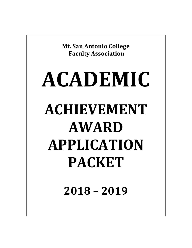**Mt. San Antonio College Faculty Association**

# **ACADEMIC ACHIEVEMENT AWARD APPLICATION PACKET**

 **2018 – 2019**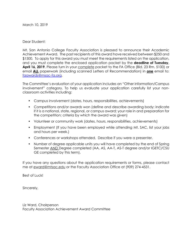March 10, 2019

Dear Student:

Dear Student:<br>Mt. San Antonio College Faculty Association is pleased to announce their Academic Achievement Award. The past recipients of this award have received between \$250 and \$1500. To apply for this award you must meet the requirements listed on the application, and you must complete the enclosed application packet by the **deadline of Tuesday,**  April 16, 2019. Please turn in your *complete* packet to the FA Office (Bld. 23 Rm. 5100) or email **ALL** paperwork (including scanned Letters of Recommendation) in **one** email to: faawards@msac-fa.org.

<u>faawards@msac-fa.org</u>.<br>The Committee's evaluation of your application includes an "Other information/Campus involvement" category. To help us evaluate your application carefully list your non-classroom activities including:

- Campus involvement (dates, hours, responsibilities, achievements)
- Competitions and/or awards won (define and describe awarding body; indicate if it is a national, state, regional, or campus award; your role in and preparation for the competition; criteria by which the award was given)
- Volunteer or community work (dates, hours, responsibilities, achievements)
- Employment (If you have been employed while attending Mt. SAC, list your jobs and hours per week.)
- Conferences or workshops attended. Describe if you were a presenter.
- Number of degree applicable units you will have completed by the end of Spring Semester AND Degree completed (AA, AS, AA-T, AS-T degree and/or IGETC/CSU GE completed by this term).

 If you have any questions about the application requirements or forms, please contact me at [eward@mtsac.edu](mailto:eward@mtsac.edu) or the Faculty Association Office at (909) 274-4531.

Best of Luck!

Sincerely,

Liz Ward, Chairperson Faculty Association Achievement Award Committee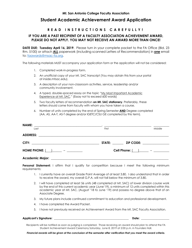# **Student Academic Achievement Award Application**

#### **R E A D I N S T R U C T I O N S C A R E F U L L Y !**

#### **PLEASE DO NOT APPLY. YOU MAY NOT RECEIVE AN AWARD MORE THAN ONCE! IF YOU ARE A PAST RECIPIENT OF A FACULTY ASSOCIATION ACHIEVEMENT AWARD,**

 **DATE DUE: Tuesday April 16, 2019**. Please turn in your complete packet to the FA Office (Bld. 23 Rm. 5100) or attach **ALL** paperwork (including scanned Letters of Recommendation) in **one** email to: [faawards@msac-fa.org.](mailto:faawards@msac-fa.org)

The following materials MUST accompany your application form or the application will not be considered:

- 1. Completed work-in-progress form.
- 2. An unofficial copy of your Mt. SAC transcript (You may obtain this from your portal at [inside.mtsac.edu\)](http:inside.mtsac.edu).
- 3. A description of your non-classroom activities, service, leadership and/or community involvement.
- 4. A typed, double-spaced essay on the topic "My Most Important Academic Experience at Mt. SAC." (Essay not to exceed 600 words)
- 5. Two faculty letters of recommendation **on Mt. SAC stationery**. Preferably, these letters should come from faculty with whom you have taken a course.
- 6. Number of units completed by the end of Spring Semester **AND** Degree completed (AA, AS, AA-T, AS-T degree and/or IGETC/CSU GE completed by this term).

| Last                                                                            | First                                                                    | Middle |
|---------------------------------------------------------------------------------|--------------------------------------------------------------------------|--------|
|                                                                                 |                                                                          |        |
|                                                                                 | STATE: ZIP CODE:                                                         |        |
| HOME PHONE: $\begin{array}{ c c c c c }\n\hline\n-1 & - & -\hline\n\end{array}$ | Cell Phone: $\begin{array}{ c c c c c }\n\hline\n-\end{array}$ = _______ |        |
|                                                                                 |                                                                          |        |

 **Personal Statement:** I affirm that I qualify for competition because I meet the following minimum requirements:

- 1. I currently have an overall Grade Point Average of at least 3.80. I also understand that in order to receive the award, my overall G.P.A. will not fall below the minimum of 3.80.
- 2. I will have completed at least 56 units (48 completed at Mt. SAC) of lower division course work by the end of this current academic year (June'19), a minimum of 12 units completed within this academic year at Mt. SAC, (August '18 to June '19) and possess no degree above that of an Associate Degree.
- 3. My future plans include continued commitment to education and professional development.
- 4. I have completed the Award Packet.
- 5. I have not previously received an Achievement Award from the Mt. SAC Faculty Association.

#### **Applicant's Signature:** \_\_\_\_\_\_\_\_\_\_\_\_\_\_\_\_\_\_\_\_\_\_\_\_\_\_\_\_\_\_\_\_\_\_\_\_\_\_\_\_\_\_\_\_\_\_\_\_\_\_\_\_\_ **Date:** \_\_\_\_\_\_\_\_\_\_\_\_\_\_\_\_\_\_\_\_

 Recipients will be notified as soon as judging is completed. Those receiving an award should plan to attend the FA Student Achievement Award Ceremony Saturday, June 8, 2019 at 2:00 p.m. in Founders Hall.

 *Financial awards will be given at the conclusion of the semester after verification that you meet the award criteria.*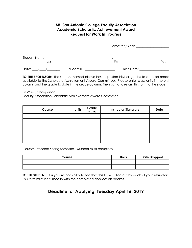## **Mt. San Antonio College Faculty Association Academic Scholastic Achievement Award Request for Work In Progress**

|                 |             | Semester / Year: 1988 1999 |      |  |
|-----------------|-------------|----------------------------|------|--|
| Student Name: _ |             |                            |      |  |
| Last            |             | First                      | M.I. |  |
| Date:           | Student ID: | Birth Date:                |      |  |

 **TO THE PROFESSOR**: The student named above has requested his/her grades to date be made available to the Scholastic Achievement Award Committee. Please enter class units in the unit column and the grade to date in the grade column. Then sign and return this form to the student.

Liz Ward, Chairperson

Faculty Association Scholastic Achievement Award Committee

| Course | <b>Units</b> | <b>Grade</b><br>to Date | <b>Instructor Signature</b> | <b>Date</b> |
|--------|--------------|-------------------------|-----------------------------|-------------|
|        |              |                         |                             |             |
|        |              |                         |                             |             |
|        |              |                         |                             |             |
|        |              |                         |                             |             |
|        |              |                         |                             |             |
|        |              |                         |                             |             |

Courses Dropped Spring Semester – Student must complete

| Course | <b>Units</b> | <b>Date Dropped</b> |
|--------|--------------|---------------------|
|        |              |                     |
|        |              |                     |

 **TO THE STUDENT**: It is your responsibility to see that this form is filled out by each of your instructors. This form must be turned in with the completed application packet.

# **Deadline for Applying: Tuesday April 16, 2019**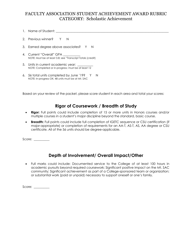# CATEGORY: Scholastic Achievement FACULTY ASSOCIATION STUDENT ACHIEVEMENT AWARD RUBRIC

- 1. Name of Student: \_\_\_\_\_\_\_\_\_\_\_\_\_\_\_\_\_\_\_\_\_\_\_\_\_\_\_\_\_\_\_\_\_\_\_\_\_\_\_\_\_\_\_\_\_\_\_\_\_\_\_\_\_\_\_\_\_\_\_\_\_\_\_\_\_\_\_\_\_\_\_\_
- 2. Previous winner? Y N
- 3. Earned degree above associates? Y N
- 4. Current "Overall" GPA \_\_\_\_\_\_\_\_\_\_\_ NOTE: Must be at least 3.8; see "Transcript Totals (credit)
- 5. Units in current academic year: \_\_\_\_\_\_\_\_\_\_ NOTE: Completed or in-progress; must be at least 12
- 6. 56 total units completed by June '19? Y N NOTE: In-progress OK; 48 units must be at Mt. SAC

Based on your review of the packet, please score student in each area and total your scores:

## **Rigor of Coursework / Breadth of Study**

- • **Rigor:** Full points could include completion of 15 or more units in Honors courses and/or multiple courses in a student's major discipline beyond the standard, basic course.  $\bullet$
- • **Breadth:** Full points could include full completion of IGETC sequence or CSU certification (if major-appropriate) or completion of requirements for an AA-T, AS-T, AS, AA degree or CSU certificate. All of the 56 units should be degree-applicable.

Score: \_\_\_\_\_\_\_\_\_

# **Depth of Involvement/ Overall Impact/Other**

 • Full marks could include: Documented service to the College of at least 100 hours in academic pursuits beyond required coursework; Significant positive impact on the Mt. SAC community; Significant achievement as part of a College-sponsored team or organization; or substantial work (paid or unpaid) necessary to support oneself or one's family.

Score: \_\_\_\_\_\_\_\_\_